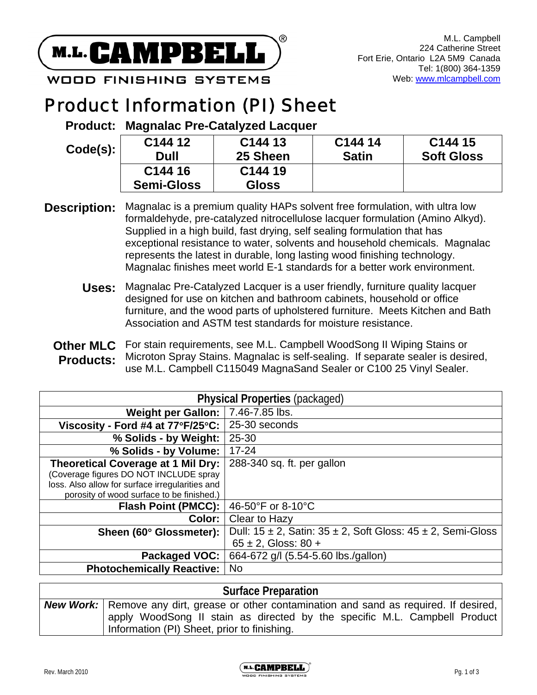

**WOOD FINISHING SYSTEMS** 

# Product Information (PI) Sheet

**Product: Magnalac Pre-Catalyzed Lacquer** 

| Code(s): | C <sub>144</sub> 12 | C144 13             | C144 14      | C144 15           |
|----------|---------------------|---------------------|--------------|-------------------|
|          | Dull                | 25 Sheen            | <b>Satin</b> | <b>Soft Gloss</b> |
|          | C <sub>144</sub> 16 | C <sub>144</sub> 19 |              |                   |
|          | <b>Semi-Gloss</b>   | <b>Gloss</b>        |              |                   |

- **Description:** Magnalac is a premium quality HAPs solvent free formulation, with ultra low formaldehyde, pre-catalyzed nitrocellulose lacquer formulation (Amino Alkyd). Supplied in a high build, fast drying, self sealing formulation that has exceptional resistance to water, solvents and household chemicals. Magnalac represents the latest in durable, long lasting wood finishing technology. Magnalac finishes meet world E-1 standards for a better work environment.
	- **Uses:** Magnalac Pre-Catalyzed Lacquer is a user friendly, furniture quality lacquer designed for use on kitchen and bathroom cabinets, household or office furniture, and the wood parts of upholstered furniture. Meets Kitchen and Bath Association and ASTM test standards for moisture resistance.
	- **Other MLC** For stain requirements, see M.L. Campbell WoodSong II Wiping Stains or **Products:**  Microton Spray Stains. Magnalac is self-sealing. If separate sealer is desired, use M.L. Campbell C115049 MagnaSand Sealer or C100 25 Vinyl Sealer.

| <b>Physical Properties (packaged)</b>              |                                                                            |  |  |
|----------------------------------------------------|----------------------------------------------------------------------------|--|--|
| Weight per Gallon:                                 | 7.46-7.85 lbs.                                                             |  |  |
| Viscosity - Ford #4 at $77^{\circ}F/25^{\circ}C$ : | 25-30 seconds                                                              |  |  |
| % Solids - by Weight:                              | 25-30                                                                      |  |  |
| % Solids - by Volume:                              | $17 - 24$                                                                  |  |  |
| Theoretical Coverage at 1 Mil Dry:                 | 288-340 sq. ft. per gallon                                                 |  |  |
| (Coverage figures DO NOT INCLUDE spray             |                                                                            |  |  |
| loss. Also allow for surface irregularities and    |                                                                            |  |  |
| porosity of wood surface to be finished.)          |                                                                            |  |  |
| <b>Flash Point (PMCC):</b>                         | 46-50°F or 8-10°C                                                          |  |  |
| Color:                                             | Clear to Hazy                                                              |  |  |
| Sheen (60° Glossmeter):                            | Dull: $15 \pm 2$ , Satin: $35 \pm 2$ , Soft Gloss: $45 \pm 2$ , Semi-Gloss |  |  |
|                                                    | $65 \pm 2$ , Gloss: 80 +                                                   |  |  |
| Packaged VOC:                                      | 664-672 g/l (5.54-5.60 lbs./gallon)                                        |  |  |
| <b>Photochemically Reactive:</b>                   | <b>No</b>                                                                  |  |  |

# **Surface Preparation New Work:** Remove any dirt, grease or other contamination and sand as required. If desired, apply WoodSong II stain as directed by the specific M.L. Campbell Product Information (PI) Sheet, prior to finishing.

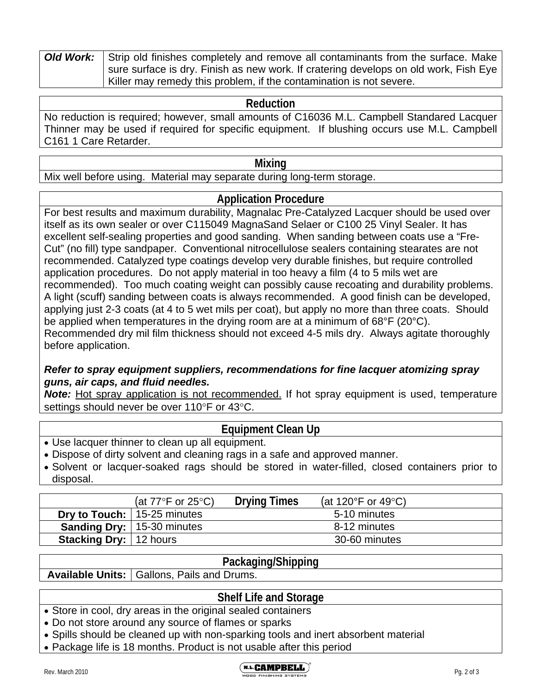| <b>Old Work:</b> Strip old finishes completely and remove all contaminants from the surface. Make |  |  |  |
|---------------------------------------------------------------------------------------------------|--|--|--|
| l sure surface is dry. Finish as new work. If cratering develops on old work, Fish Eye            |  |  |  |
| Killer may remedy this problem, if the contamination is not severe.                               |  |  |  |

## **Reduction**

No reduction is required; however, small amounts of C16036 M.L. Campbell Standared Lacquer Thinner may be used if required for specific equipment. If blushing occurs use M.L. Campbell C161 1 Care Retarder.

#### **Mixing**

Mix well before using. Material may separate during long-term storage.

# **Application Procedure**

For best results and maximum durability, Magnalac Pre-Catalyzed Lacquer should be used over itself as its own sealer or over C115049 MagnaSand Selaer or C100 25 Vinyl Sealer. It has excellent self-sealing properties and good sanding. When sanding between coats use a "Fre-Cut" (no fill) type sandpaper. Conventional nitrocellulose sealers containing stearates are not recommended. Catalyzed type coatings develop very durable finishes, but require controlled application procedures. Do not apply material in too heavy a film (4 to 5 mils wet are recommended). Too much coating weight can possibly cause recoating and durability problems. A light (scuff) sanding between coats is always recommended. A good finish can be developed, applying just 2-3 coats (at 4 to 5 wet mils per coat), but apply no more than three coats. Should be applied when temperatures in the drying room are at a minimum of 68°F (20°C). Recommended dry mil film thickness should not exceed 4-5 mils dry. Always agitate thoroughly before application.

## *Refer to spray equipment suppliers, recommendations for fine lacquer atomizing spray guns, air caps, and fluid needles.*

**Note:** Hot spray application is not recommended. If hot spray equipment is used, temperature settings should never be over 110°F or 43°C.

# **Equipment Clean Up**

- Use lacquer thinner to clean up all equipment.
- Dispose of dirty solvent and cleaning rags in a safe and approved manner.
- Solvent or lacquer-soaked rags should be stored in water-filled, closed containers prior to disposal.

|                               | (at $77^{\circ}$ F or $25^{\circ}$ C) | <b>Drying Times</b> | (at 120°F or 49°C) |  |
|-------------------------------|---------------------------------------|---------------------|--------------------|--|
|                               | <b>Dry to Touch:</b> 15-25 minutes    |                     | 5-10 minutes       |  |
|                               | <b>Sanding Dry:</b>   15-30 minutes   |                     | 8-12 minutes       |  |
| <b>Stacking Dry:</b> 12 hours |                                       |                     | 30-60 minutes      |  |

#### **Packaging/Shipping**

Available Units: | Gallons, Pails and Drums.

## **Shelf Life and Storage**

- Store in cool, dry areas in the original sealed containers
- Do not store around any source of flames or sparks
- Spills should be cleaned up with non-sparking tools and inert absorbent material
- Package life is 18 months. Product is not usable after this period